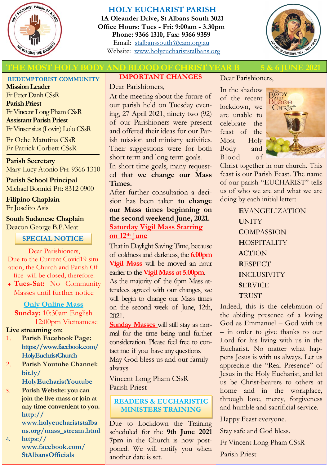

## **HOLY EUCHARIST PARISH**

**1A Oleander Drive, St Albans South 3021 Office Hours: Tues - Fri: 9:00am - 3.30pm Phone: 9366 1310, Fax: 9366 9359** Email: [stalbanssouth@cam.org.au](mailto:stalbanssouth@cam.org.au) Website:[www.holyeuchariststalbans.org](http://www.holyeuchariststalbans.org)



# **THE MOST HOLY BODY AND BLOOD OF CHRIST YEAR B 5 & 6 JUNE 2021**

### **REDEMPTORIST COMMUNITY**

**Mission Leader** Fr Peter Danh CSsR **Parish Priest** Fr Vincent Long Pham CSsR **Assistant Parish Priest**  Fr Vinsensius (Lovin) Lolo CSsR

Fr Oche Matutina CSsR Fr Patrick Corbett CSsR

**Parish Secretary** Mary-Lucy Atonio PH: 9366 1310

**Parish School Principal** Michael Bonnici PH: 8312 0900

**Filipino Chaplain** Fr Joselito Asis

**South Sudanese Chaplain** Deacon George B.P.Meat

## **SPECIAL NOTICE**

Dear Parishioners, Due to the Current Covid19 situation, the Church and Parish Office will be closed, therefore:

 **Tues-Sat:** No Community Masses until further notice

**Only Online Mass Sunday:** 10:30am English 12:00pm Vietnamese

### **Live streaming on:**

- 1. **Parish Facebook Page: [https://www.facebook.com/](https://www.facebook.com/HolyEuchristChurch/?__tn__=K-R&eid=ARBM1QrYxFY6RPMk7pERebh2rQRHf74BlaLd1VcjGGtCaP9p84rIk0c98hlhTEr82Q8jETXCJzOvL0kn&fref=mentions&__xts__%5B0%5D=68.ARBnHs6a1u-PF7J9Jcl_gNh_UT2uNyd1RzKvVIxqP8JzHkM3mTr_xfPeZKpg_v-bgja9SqrtiUyctIDnpdXH1N) [HolyEuchristChurch](https://www.facebook.com/HolyEuchristChurch/?__tn__=K-R&eid=ARBM1QrYxFY6RPMk7pERebh2rQRHf74BlaLd1VcjGGtCaP9p84rIk0c98hlhTEr82Q8jETXCJzOvL0kn&fref=mentions&__xts__%5B0%5D=68.ARBnHs6a1u-PF7J9Jcl_gNh_UT2uNyd1RzKvVIxqP8JzHkM3mTr_xfPeZKpg_v-bgja9SqrtiUyctIDnpdXH1N)**
- 2. **Parish Youtube Channel: [bit.ly/](https://l.facebook.com/l.php?u=https%3A%2F%2Fbit.ly%2FHolyEucharistYoutube%3Ffbclid%3DIwAR1cGDfikzYYKJZ4dYLy-9rZhJ7KsRBJONaEedDSgkMRNh6TobJ8QUU4yeQ&h=AT0MTGTPajxp8qiWg-vh0o_edX_2SfHvTlywmwjyBRAEyuwRvvoZiBjaPOpf0K_qzP_AOcFh7amNGz1-vsteTHW96AN6EjapGtwtWhmuoQDjs)**

**[HolyEucharistYoutube](https://l.facebook.com/l.php?u=https%3A%2F%2Fbit.ly%2FHolyEucharistYoutube%3Ffbclid%3DIwAR1cGDfikzYYKJZ4dYLy-9rZhJ7KsRBJONaEedDSgkMRNh6TobJ8QUU4yeQ&h=AT0MTGTPajxp8qiWg-vh0o_edX_2SfHvTlywmwjyBRAEyuwRvvoZiBjaPOpf0K_qzP_AOcFh7amNGz1-vsteTHW96AN6EjapGtwtWhmuoQDjs)**

3. **Parish Website: you can join the live mass or join at any time convenient to you. [http://](http://www.holyeuchariststalbans.org/mass_stream.html)**

**[www.holyeuchariststalba](http://www.holyeuchariststalbans.org/mass_stream.html) [ns.org/mass\\_stream.html](http://www.holyeuchariststalbans.org/mass_stream.html)**

4. **https:// www.facebook.com/ StAlbansOfficials**

Dear Parishioners, At the meeting about the future of our parish held on Tuesday evening, 27 April 2021, ninety two (92) of our Parishioners were present and offered their ideas for our Parish mission and ministry activities. Their suggestions were for both short term and long term goals.

**IMPORTANT CHANGES**

In short time goals, many requested that **we change our Mass Times.**

After further consultation a decision has been taken **to change our Mass times beginning on the second weekend June, 2021. Saturday Vigil Mass Starting on 12th** J**une**

That in Daylight Saving Time, because of coldness and darkness, the **6.00pm Vigil Mass** will be moved an hour earlier to the **Vigil Mass at 5.00pm**.

As the majority of the 6pm Mass attendees agreed with our changes, we will begin to change our Mass times on the second week of June, 12th, 2021.

**Sunday Masses** will still stay as normal for the time being until further consideration. Please feel free to contact me if you have any questions. May God bless us and our family always.

Vincent Long Pham CSsR Parish Priest

## **READERS & EUCHARISTIC MINISTERS TRAINING**

Due to Lockdown the Training scheduled for the **9th June 2021 7pm** in the Church is now postponed. We will notify you when another date is set.

### Dear Parishioners,

In the shadow of the recent lockdown, we are unable to celebrate the feast of the Most Holy Body and Blood of



Christ together in our church. This feast is our Parish Feast. The name of our parish "EUCHARIST" tells us of who we are and what we are doing by each initial letter:

> **E**VANGELIZATION **U**NITY **C**OMPASSION **H**OSPITALITY **A**CTION **R**ESPECT **I**NCLUSIVITY **S**ERVICE **T**RUST

Indeed, this is the celebration of the abiding presence of a loving God as Emmanuel – God with us – in order to give thanks to our Lord for his living with us in the Eucharist. No matter what happens Jesus is with us always. Let us appreciate the "Real Presence" of Jesus in the Holy Eucharist, and let us be Christ-bearers to others at home and in the workplace, through love, mercy, forgiveness and humble and sacrificial service.

Happy Feast everyone.

Stay safe and God bless.

Fr Vincent Long Pham CSsR

Parish Priest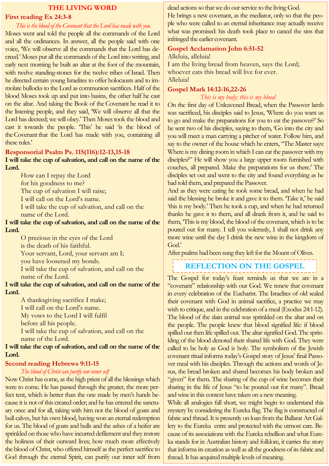### **THE LIVING WORD**

### **First reading Ex 24:3-8**

### *This is the blood of the Covenant that the Lord has made with you.*

Moses went and told the people all the commands of the Lord and all the ordinances. In answer, all the people said with one voice, 'We will observe all the commands that the Lord has decreed.' Moses put all the commands of the Lord into writing, and early next morning he built an altar at the foot of the mountain, with twelve standing-stones for the twelve tribes of Israel. Then he directed certain young Israelites to offer holocausts and to immolate bullocks to the Lord as communion sacrifices. Half of the blood Moses took up and put into basins, the other half he cast on the altar. And taking the Book of the Covenant he read it to the listening people, and they said, 'We will observe all that the Lord has decreed; we will obey.' Then Moses took the blood and cast it towards the people. This' he said 'is the blood of theCovenant that the Lord has made with you, containing all these rules.'

#### **Responsorial Psalm Ps. 115(116):12-13,15-18**

**I will take the cup of salvation, and call on the name of the Lord.**

How can I repay the Lord for his goodness to me? The cup of salvation I will raise; I will call on the Lord's name. I will take the cup of salvation, and call on the name of the Lord.

**I will take the cup of salvation, and call on the name of the Lord.**

O precious in the eyes of the Lord is the death of his faithful. Your servant, Lord, your servant am I; you have loosened my bonds. I will take the cup of salvation, and call on the name of the Lord.

### **I will take the cup of salvation, and call on the name of the Lord.**

A thanksgiving sacrifice I make; I will call on the Lord's name. My vows to the Lord I will fulfil before all his people. I will take the cup of salvation, and call on the name of the Lord.

**I will take the cup of salvation, and call on the name of the Lord.**

#### **Second reading Hebrews 9:11-15**

#### *The blood of Christ can purify our inner self*

Now Christ has come, as the high priest of all the blessings which were to come. He has passed through the greater, the more perfect tent, which is better than the one made by men's hands because it is not of this created order; and he has entered the sanctuary once and for all, taking with him not the blood of goats and bull calves, but his own blood, having won an eternal redemption for us. The blood of goats and bulls and the ashes of a heifer are sprinkled on those who have incurred defilement and they restore the holiness of their outward lives; how much more effectively the blood of Christ, who offered himself as the perfect sacrifice to God through the eternal Spirit, can purify our inner self from

dead actions so that we do our service to the living God.

He brings a new covenant, as the mediator, only so that the people who were called to an eternal inheritance may actually receive what was promised: his death took place to cancel the sins that infringed the earlier covenant.

#### **Gospel Acclamation John 6:51-52**

Alleluia, alleluia!

I am the living bread from heaven, says the Lord; whoever eats this bread will live for ever. Alleluia!

#### **Gospel Mark 14:12-16,22-26**

#### *This is my body; this is my blood*

On the first day of Unleavened Bread, when the Passover lamb was sacrificed, his disciples said to Jesus, 'Where do you want us to go and make the preparations for you to eat the passover?' So he sent two of his disciples, saying to them, 'Go into the city and you will meet a man carrying a pitcher of water. Follow him, and say to the owner of the house which he enters, "The Master says: Where is my dining room in which I can eat the passover with my disciples?" He will show you a large upper room furnished with couches, all prepared. Make the preparations for us there.' The disciples set out and went to the city and found everything as he had told them, and prepared the Passover.

And as they were eating he took some bread, and when he had said the blessing he broke it and gave it to them. Take it,' he said 'this is my body.' Then he took a cup, and when he had returned thanks he gave it to them, and all drank from it, and he said to them, 'This is my blood, the blood of the covenant, which is to be poured out for many. I tell you solemnly, I shall not drink any more wine until the day I drink the new wine in the kingdom of God.'

After psalms had been sung they left for the Mount of Olives.

## **REFLECTION ON THE GOSPEL**

The Gospel for today's feast reminds us that we are in a "covenant" relationship with our God. We renew that covenant in every celebration of the Eucharist. The Israelites of old sealed their covenant with God in animal sacrifice, a practice we may wish to critique, and in the celebration of a meal (Exodus 24:1-12). The blood of the slain animal was sprinkled on the altar and on the people. The people knew that blood signified life: if blood spilled out then life spilled out. The altar signified God. The sprinkling of the blood denoted their shared life with God. They were called to be holy as God is holy. The symbolism of the Jewish covenant ritual informs today's Gospel story of Jesus' final Passover meal with his disciples. Through the actions and words of Jesus, the bread broken and shared becomes his body broken and "given" for them. The sharing of the cup of wine becomes their sharing in the life of Jesus "to be poured out for many". Bread and wine in this context have taken on a new meaning.

While all analogies fall short, we might begin to understand this mystery by considering the Eureka flag. The flag is constructed of fabric and thread. It is presently on loan from the Ballarat Art Gallery to the Eureka entre and protected with the utmost care. Because of its associations with the Eureka rebellion and what Eureka stands for in Australian history and folklore, it carries the story that informs its creation as well as all the goodness of its fabric and thread. It has acquired multiple levels of meaning.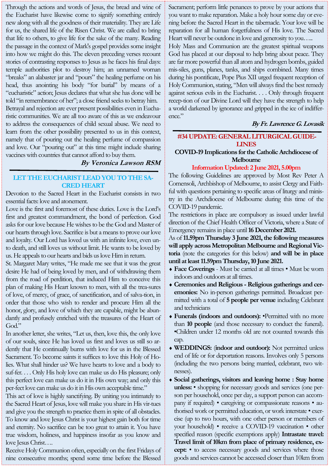Through the actions and words of Jesus, the bread and wine of the Eucharist have likewise come to signify something entirely new along with all the goodness of their materiality. They are Life for us, the shared life of the Risen Christ. We are called to bring that life to others, to give life for the sake of the many. Reading the passage in the context of Mark's gospel provides some insight into how we might do this. The eleven preceding verses recount stories of contrasting responses to Jesus as he faces his final days: temple authorities plot to destroy him; an unnamed woman "breaks" an alabaster jar and "pours" the healing perfume on his head, thus anointing his body "for burial" by means of a "eucharistic" action; Jesus declares that what she has done will be told "in remembrance of her"; a close friend seeks to betray him. Betrayal and rejection are ever present possibilities even in Eucharistic communities. We are all too aware of this as we endeavour to address the consequences of child sexual abuse. We need to learn from the other possibility presented to us in this context, namely that of pouring out the healing perfume of compassion and love. Our "pouring out" at this time might include sharing vaccines with countries that cannot afford to buy them.

### **By Veronica Lawson RSM**

### **LET THE EUCHARIST LEAD YOU TO THE SA-CRED HEART**

Devotion to the Sacred Heart in the Eucharist consists in two essential facts: love and atonement.

Love is the first and foremost of these duties. Love is the Lord's first and greatest commandment, the bond of perfection. God asks for our love because He wishes to be the God and Master of our hearts through love. Sacrifice is but a means to prove our love and loyalty. Our Lord has loved us with an infinite love, even unto death, and still loves us without limit. He wants to be loved by us. He appeals to our hearts and bids us love Him in return.

St. Margaret Mary writes, "He made me see that it was the great desire He had of being loved by men, and of withdrawing them from the road of perdition, that induced Him to conceive this plan of making His Heart known to men, with all the trea-sures of love, of mercy, of grace, of sanctification, and of salva-tion, in order that those who wish to render and procure Him all the honor, glory, and love of which they are capable, might be abundantly and profusely enriched with the treasures of the Heart of God."

In another letter, she writes, "Let us, then, love this, the only love of our souls, since He has loved us first and loves us still so ardently that He continually burns with love for us in the Blessed Sacrament. To become saints it suffices to love this Holy of Holies. What shall hinder us? We have hearts to love and a body to suf-fer. . . . Only His holy love can make us do His pleasure; only this perfect love can make us do it in His own way; and only this per-fect love can make us do it in His own acceptable time."

This act of love is highly sanctifying. By uniting you intimately to the Sacred Heart of Jesus, love will make you share in His vir-tues and give you the strength to practice them in spite of all obstacles. To know and love Jesus Christ is your highest gain both for time and eternity. No sacrifice can be too great to attain it. You have true wisdom, holiness, and happiness insofar as you know and love Jesus Christ….

Receive Holy Communion often, especially on the first Fridays of nine consecutive months; spend some time before the Blessed

Sacrament; perform little penances to prove by your actions that you want to make reparation. Make a holy hour some day or evening before the Sacred Heart in the tabernacle. Your love will be reparation for all human forgetfulness of His love. The Sacred Heart will never be outdone in love and generosity to you…..

Holy Mass and Communion are the greatest spiritual weapons God has placed at our disposal to help bring about peace. They are far more powerful than all atom and hydrogen bombs, guided mis-siles, guns, planes, tanks, and ships combined. Many times during his pontificate, Pope Pius XII urged frequent reception of Holy Communion, stating, "Men will always find the best remedy against serious evils in the Eucharist. . . . Only through frequent recep-tion of our Divine Lord will they have the strength to help a world darkened by ignorance and gripped in the ice of indifference."

### **By Fr. Lawrence G. Lovasik**

### **#34 UPDATE: GENERAL LITURGICAL GUIDE-LINES**

### **COVID-19 Implications for the Catholic Archdiocese of Melbourne**

### **Information Updated: 2 June 2021, 5.00pm**

The following Guidelines are approved by Most Rev Peter A Comensoli, Archbishop of Melbourne, to assist Clergy and Faithful with questions pertaining to specific areas of liturgy and ministry in the Archdiocese of Melbourne during this time of the COVID-19 pandemic.

The restrictions in place are compulsory as issued under lawful direction of the Chief Health Officer of Victoria, where a State of Emergency remains in place until **16 December 2021.**

As of **11.59pm Thursday 3 June 2021, the following measures will apply across Metropolitan Melbourne and Regional Victoria** (note the categories for this below) **and will be in place until at least 11.59pm Thursday, 10 June 2021.** 

- **Face Coverings**  Must be carried at all times Must be worn indoors and outdoors at all times.
- **Ceremonies and Religious -Religious gatherings and ceremonies:** No in-person gatherings permitted. Broadcast permitted with a total of **5 people per venue** including Celebrant and technicians
- **Funerals (indoors and outdoors):** •Permitted with no more than **10 people** (and those necessary to conduct the funeral). •Children under 12 months old are not counted towards this cap.
- **WEDDINGS:** (**indoor and outdoor):** Not permitted unless end of life or for deportation reasons. Involves only 5 persons (including the two persons being married, celebrant, two witnesses).
- **Social gatherings, visitors and leaving home : Stay home unless:** • shopping for necessary goods and services (one person per household, once per day, a support person can accompany if required) • caregiving or compassionate reasons • authorised work or permitted education, or work interstate • exercise (up to two hours, with one other person or members of your household) • receive a COVID-19 vaccination • other specified reason (specific exemptions apply) **Intrastate travel: Travel limit of 10km from place of primary residence, except:** • to access necessary goods and services where those goods and services cannot be accessed closer than 10km from